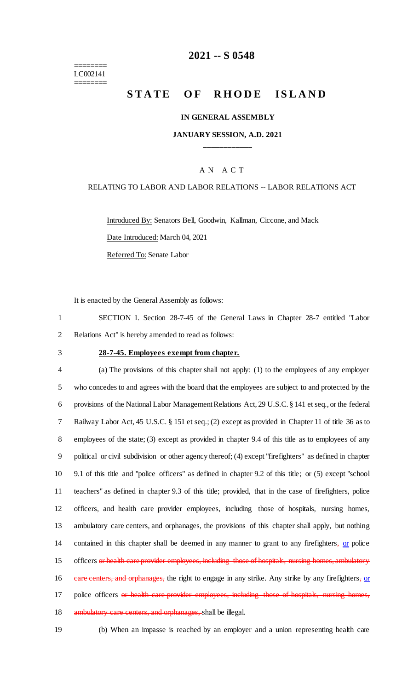#### ======== LC002141 ========

## **2021 -- S 0548**

# **STATE OF RHODE ISLAND**

#### **IN GENERAL ASSEMBLY**

### **JANUARY SESSION, A.D. 2021 \_\_\_\_\_\_\_\_\_\_\_\_**

### A N A C T

### RELATING TO LABOR AND LABOR RELATIONS -- LABOR RELATIONS ACT

Introduced By: Senators Bell, Goodwin, Kallman, Ciccone, and Mack Date Introduced: March 04, 2021 Referred To: Senate Labor

It is enacted by the General Assembly as follows:

1 SECTION 1. Section 28-7-45 of the General Laws in Chapter 28-7 entitled "Labor 2 Relations Act" is hereby amended to read as follows:

#### 3 **28-7-45. Employees exempt from chapter.**

 (a) The provisions of this chapter shall not apply: (1) to the employees of any employer who concedes to and agrees with the board that the employees are subject to and protected by the provisions of the National Labor Management Relations Act, 29 U.S.C. § 141 et seq., or the federal Railway Labor Act, 45 U.S.C. § 151 et seq.; (2) except as provided in Chapter 11 of title 36 as to employees of the state; (3) except as provided in chapter 9.4 of this title as to employees of any political or civil subdivision or other agency thereof; (4) except "firefighters" as defined in chapter 9.1 of this title and "police officers" as defined in chapter 9.2 of this title; or (5) except "school teachers" as defined in chapter 9.3 of this title; provided, that in the case of firefighters, police officers, and health care provider employees, including those of hospitals, nursing homes, ambulatory care centers, and orphanages, the provisions of this chapter shall apply, but nothing 14 contained in this chapter shall be deemed in any manner to grant to any firefighters, or police 15 officers or health care provider employees, including those of hospitals, nursing homes, ambulatory 16 eare centers, and orphanages, the right to engage in any strike. Any strike by any firefighters, or 17 police officers or health care provider employees, including those of hospitals, nursing homes, 18 ambulatory care centers, and orphanages, shall be illegal.

19 (b) When an impasse is reached by an employer and a union representing health care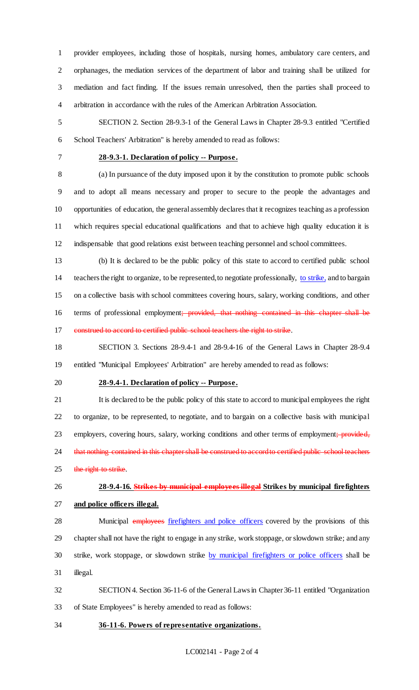provider employees, including those of hospitals, nursing homes, ambulatory care centers, and orphanages, the mediation services of the department of labor and training shall be utilized for mediation and fact finding. If the issues remain unresolved, then the parties shall proceed to arbitration in accordance with the rules of the American Arbitration Association.

 SECTION 2. Section 28-9.3-1 of the General Laws in Chapter 28-9.3 entitled "Certified School Teachers' Arbitration" is hereby amended to read as follows:

### **28-9.3-1. Declaration of policy -- Purpose.**

 (a) In pursuance of the duty imposed upon it by the constitution to promote public schools and to adopt all means necessary and proper to secure to the people the advantages and opportunities of education, the general assembly declares that it recognizes teaching as a profession which requires special educational qualifications and that to achieve high quality education it is indispensable that good relations exist between teaching personnel and school committees.

 (b) It is declared to be the public policy of this state to accord to certified public school teachers the right to organize, to be represented, to negotiate professionally, to strike, and to bargain on a collective basis with school committees covering hours, salary, working conditions, and other 16 terms of professional employment; provided, that nothing contained in this chapter shall be construed to accord to certified public school teachers the right to strike.

 SECTION 3. Sections 28-9.4-1 and 28-9.4-16 of the General Laws in Chapter 28-9.4 entitled "Municipal Employees' Arbitration" are hereby amended to read as follows:

#### **28-9.4-1. Declaration of policy -- Purpose.**

 It is declared to be the public policy of this state to accord to municipal employees the right to organize, to be represented, to negotiate, and to bargain on a collective basis with municipal 23 employers, covering hours, salary, working conditions and other terms of employment; provided, 24 that nothing contained in this chapter shall be construed to accord to certified public school teachers

25 the right to strike.

**28-9.4-16. Strikes by municipal employees illegal Strikes by municipal firefighters** 

### **and police officers illegal.**

28 Municipal employees firefighters and police officers covered by the provisions of this chapter shall not have the right to engage in any strike, work stoppage, or slowdown strike; and any 30 strike, work stoppage, or slowdown strike by municipal firefighters or police officers shall be illegal.

 SECTION 4. Section 36-11-6 of the General Laws in Chapter 36-11 entitled "Organization of State Employees" is hereby amended to read as follows:

**36-11-6. Powers of representative organizations.**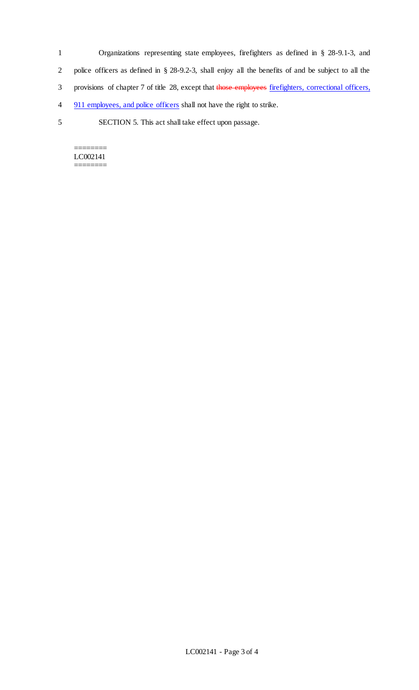- 1 Organizations representing state employees, firefighters as defined in § 28-9.1-3, and 2 police officers as defined in § 28-9.2-3, shall enjoy all the benefits of and be subject to all the 3 provisions of chapter 7 of title 28, except that those employees firefighters, correctional officers, 4 911 employees, and police officers shall not have the right to strike.
- 5 SECTION 5. This act shall take effect upon passage.

======== LC002141 ========